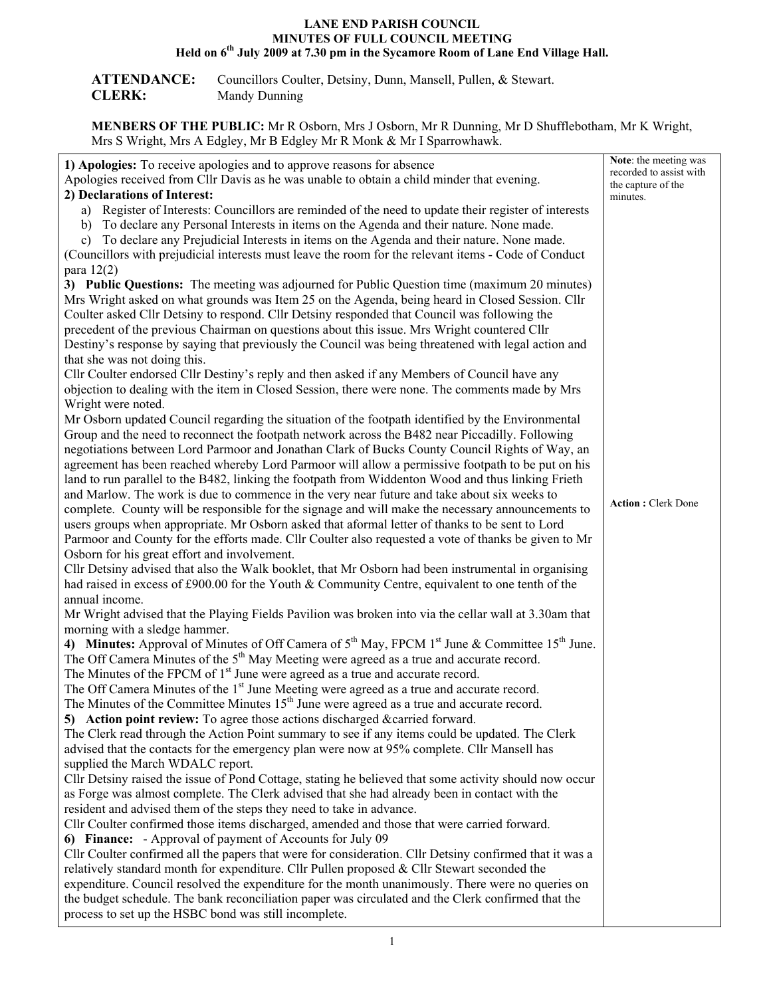#### **LANE END PARISH COUNCIL MINUTES OF FULL COUNCIL MEETING Held on 6th July 2009 at 7.30 pm in the Sycamore Room of Lane End Village Hall.**

| <b>ATTENDANCE:</b> | Councillors Coulter, Detsiny, Dunn, Mansell, Pullen, & Stewart. |
|--------------------|-----------------------------------------------------------------|
| <b>CLERK:</b>      | Mandy Dunning                                                   |

**MENBERS OF THE PUBLIC:** Mr R Osborn, Mrs J Osborn, Mr R Dunning, Mr D Shufflebotham, Mr K Wright, Mrs S Wright, Mrs A Edgley, Mr B Edgley Mr R Monk & Mr I Sparrowhawk.

|                                                                                                         | Note: the meeting was     |  |
|---------------------------------------------------------------------------------------------------------|---------------------------|--|
| 1) Apologies: To receive apologies and to approve reasons for absence                                   | recorded to assist with   |  |
| Apologies received from Cllr Davis as he was unable to obtain a child minder that evening.              | the capture of the        |  |
| 2) Declarations of Interest:<br>minutes.                                                                |                           |  |
| a) Register of Interests: Councillors are reminded of the need to update their register of interests    |                           |  |
| b) To declare any Personal Interests in items on the Agenda and their nature. None made.                |                           |  |
| c) To declare any Prejudicial Interests in items on the Agenda and their nature. None made.             |                           |  |
| (Councillors with prejudicial interests must leave the room for the relevant items - Code of Conduct    |                           |  |
| para $12(2)$                                                                                            |                           |  |
| 3) Public Questions: The meeting was adjourned for Public Question time (maximum 20 minutes)            |                           |  |
| Mrs Wright asked on what grounds was Item 25 on the Agenda, being heard in Closed Session. Cllr         |                           |  |
| Coulter asked Cllr Detsiny to respond. Cllr Detsiny responded that Council was following the            |                           |  |
| precedent of the previous Chairman on questions about this issue. Mrs Wright countered Cllr             |                           |  |
| Destiny's response by saying that previously the Council was being threatened with legal action and     |                           |  |
| that she was not doing this.                                                                            |                           |  |
| Cllr Coulter endorsed Cllr Destiny's reply and then asked if any Members of Council have any            |                           |  |
| objection to dealing with the item in Closed Session, there were none. The comments made by Mrs         |                           |  |
| Wright were noted.                                                                                      |                           |  |
| Mr Osborn updated Council regarding the situation of the footpath identified by the Environmental       |                           |  |
| Group and the need to reconnect the footpath network across the B482 near Piccadilly. Following         |                           |  |
| negotiations between Lord Parmoor and Jonathan Clark of Bucks County Council Rights of Way, an          |                           |  |
| agreement has been reached whereby Lord Parmoor will allow a permissive footpath to be put on his       |                           |  |
| land to run parallel to the B482, linking the footpath from Widdenton Wood and thus linking Frieth      |                           |  |
| and Marlow. The work is due to commence in the very near future and take about six weeks to             |                           |  |
| complete. County will be responsible for the signage and will make the necessary announcements to       | <b>Action: Clerk Done</b> |  |
| users groups when appropriate. Mr Osborn asked that aformal letter of thanks to be sent to Lord         |                           |  |
| Parmoor and County for the efforts made. Cllr Coulter also requested a vote of thanks be given to Mr    |                           |  |
| Osborn for his great effort and involvement.                                                            |                           |  |
| Cllr Detsiny advised that also the Walk booklet, that Mr Osborn had been instrumental in organising     |                           |  |
| had raised in excess of £900.00 for the Youth & Community Centre, equivalent to one tenth of the        |                           |  |
| annual income.                                                                                          |                           |  |
| Mr Wright advised that the Playing Fields Pavilion was broken into via the cellar wall at 3.30am that   |                           |  |
| morning with a sledge hammer.                                                                           |                           |  |
| 4) Minutes: Approval of Minutes of Off Camera of $5th$ May, FPCM $1st$ June & Committee $15th$ June.    |                           |  |
| The Off Camera Minutes of the 5 <sup>th</sup> May Meeting were agreed as a true and accurate record.    |                           |  |
| The Minutes of the FPCM of 1 <sup>st</sup> June were agreed as a true and accurate record.              |                           |  |
| The Off Camera Minutes of the 1 <sup>st</sup> June Meeting were agreed as a true and accurate record.   |                           |  |
| The Minutes of the Committee Minutes 15 <sup>th</sup> June were agreed as a true and accurate record.   |                           |  |
| 5) Action point review: To agree those actions discharged & carried forward.                            |                           |  |
| The Clerk read through the Action Point summary to see if any items could be updated. The Clerk         |                           |  |
| advised that the contacts for the emergency plan were now at 95% complete. Cllr Mansell has             |                           |  |
| supplied the March WDALC report.                                                                        |                           |  |
| Cllr Detsiny raised the issue of Pond Cottage, stating he believed that some activity should now occur  |                           |  |
| as Forge was almost complete. The Clerk advised that she had already been in contact with the           |                           |  |
| resident and advised them of the steps they need to take in advance.                                    |                           |  |
| Cllr Coulter confirmed those items discharged, amended and those that were carried forward.             |                           |  |
| 6) Finance: - Approval of payment of Accounts for July 09                                               |                           |  |
| Cllr Coulter confirmed all the papers that were for consideration. Cllr Detsiny confirmed that it was a |                           |  |
| relatively standard month for expenditure. Cllr Pullen proposed $\&$ Cllr Stewart seconded the          |                           |  |
| expenditure. Council resolved the expenditure for the month unanimously. There were no queries on       |                           |  |
| the budget schedule. The bank reconciliation paper was circulated and the Clerk confirmed that the      |                           |  |
| process to set up the HSBC bond was still incomplete.                                                   |                           |  |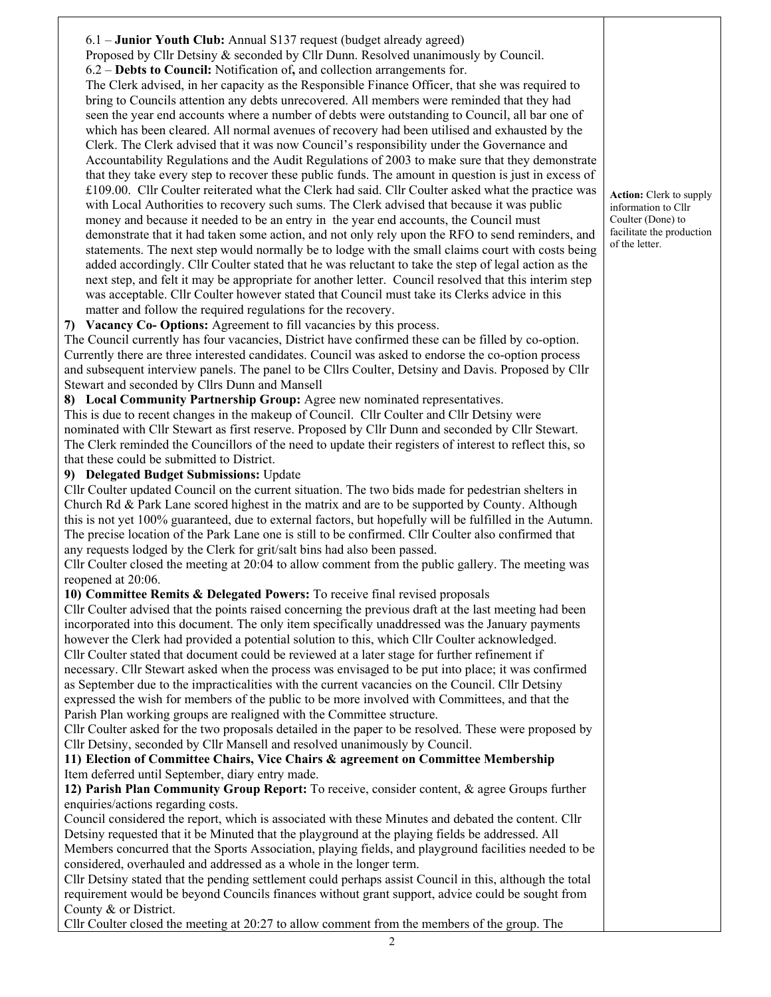6.1 – **Junior Youth Club:** Annual S137 request (budget already agreed) Proposed by Cllr Detsiny & seconded by Cllr Dunn. Resolved unanimously by Council. 6.2 – **Debts to Council:** Notification of**,** and collection arrangements for. The Clerk advised, in her capacity as the Responsible Finance Officer, that she was required to bring to Councils attention any debts unrecovered. All members were reminded that they had seen the year end accounts where a number of debts were outstanding to Council, all bar one of which has been cleared. All normal avenues of recovery had been utilised and exhausted by the Clerk. The Clerk advised that it was now Council's responsibility under the Governance and Accountability Regulations and the Audit Regulations of 2003 to make sure that they demonstrate that they take every step to recover these public funds. The amount in question is just in excess of £109.00. Cllr Coulter reiterated what the Clerk had said. Cllr Coulter asked what the practice was with Local Authorities to recovery such sums. The Clerk advised that because it was public money and because it needed to be an entry in the year end accounts, the Council must demonstrate that it had taken some action, and not only rely upon the RFO to send reminders, and statements. The next step would normally be to lodge with the small claims court with costs being added accordingly. Cllr Coulter stated that he was reluctant to take the step of legal action as the next step, and felt it may be appropriate for another letter. Council resolved that this interim step was acceptable. Cllr Coulter however stated that Council must take its Clerks advice in this matter and follow the required regulations for the recovery. **7) Vacancy Co- Options:** Agreement to fill vacancies by this process. The Council currently has four vacancies, District have confirmed these can be filled by co-option. Currently there are three interested candidates. Council was asked to endorse the co-option process and subsequent interview panels. The panel to be Cllrs Coulter, Detsiny and Davis. Proposed by Cllr Stewart and seconded by Cllrs Dunn and Mansell **8) Local Community Partnership Group:** Agree new nominated representatives. This is due to recent changes in the makeup of Council. Cllr Coulter and Cllr Detsiny were nominated with Cllr Stewart as first reserve. Proposed by Cllr Dunn and seconded by Cllr Stewart. The Clerk reminded the Councillors of the need to update their registers of interest to reflect this, so that these could be submitted to District. **9) Delegated Budget Submissions:** Update Cllr Coulter updated Council on the current situation. The two bids made for pedestrian shelters in Church Rd & Park Lane scored highest in the matrix and are to be supported by County. Although this is not yet 100% guaranteed, due to external factors, but hopefully will be fulfilled in the Autumn. The precise location of the Park Lane one is still to be confirmed. Cllr Coulter also confirmed that any requests lodged by the Clerk for grit/salt bins had also been passed. Cllr Coulter closed the meeting at 20:04 to allow comment from the public gallery. The meeting was reopened at 20:06. **10) Committee Remits & Delegated Powers:** To receive final revised proposals Cllr Coulter advised that the points raised concerning the previous draft at the last meeting had been incorporated into this document. The only item specifically unaddressed was the January payments however the Clerk had provided a potential solution to this, which Cllr Coulter acknowledged. Cllr Coulter stated that document could be reviewed at a later stage for further refinement if necessary. Cllr Stewart asked when the process was envisaged to be put into place; it was confirmed as September due to the impracticalities with the current vacancies on the Council. Cllr Detsiny expressed the wish for members of the public to be more involved with Committees, and that the Parish Plan working groups are realigned with the Committee structure. Cllr Coulter asked for the two proposals detailed in the paper to be resolved. These were proposed by Cllr Detsiny, seconded by Cllr Mansell and resolved unanimously by Council. **11) Election of Committee Chairs, Vice Chairs & agreement on Committee Membership** Item deferred until September, diary entry made. **12) Parish Plan Community Group Report:** To receive, consider content, & agree Groups further enquiries/actions regarding costs. Council considered the report, which is associated with these Minutes and debated the content. Cllr Detsiny requested that it be Minuted that the playground at the playing fields be addressed. All Members concurred that the Sports Association, playing fields, and playground facilities needed to be considered, overhauled and addressed as a whole in the longer term. Cllr Detsiny stated that the pending settlement could perhaps assist Council in this, although the total requirement would be beyond Councils finances without grant support, advice could be sought from County & or District. Cllr Coulter closed the meeting at 20:27 to allow comment from the members of the group. The

 $\mathfrak{D}$ 

**Action:** Clerk to supply information to Cllr Coulter (Done) to facilitate the production of the letter.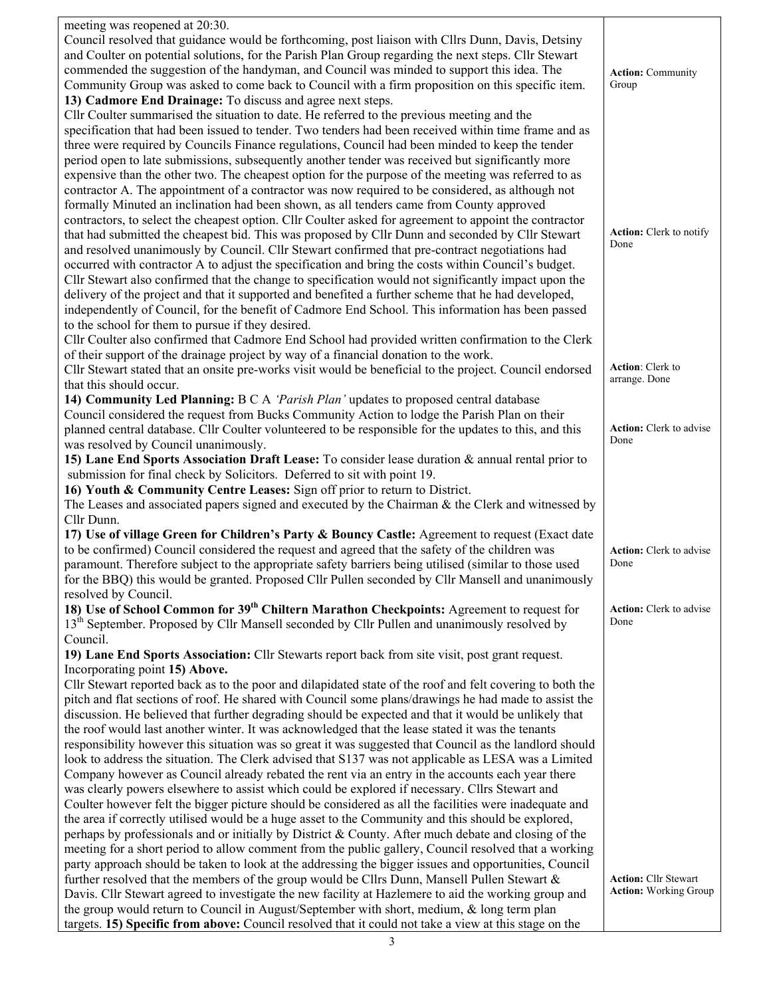| meeting was reopened at 20:30.                                                                            |                                   |
|-----------------------------------------------------------------------------------------------------------|-----------------------------------|
| Council resolved that guidance would be forthcoming, post liaison with Cllrs Dunn, Davis, Detsiny         |                                   |
| and Coulter on potential solutions, for the Parish Plan Group regarding the next steps. Cllr Stewart      |                                   |
| commended the suggestion of the handyman, and Council was minded to support this idea. The                |                                   |
|                                                                                                           | <b>Action: Community</b>          |
| Community Group was asked to come back to Council with a firm proposition on this specific item.          | Group                             |
| 13) Cadmore End Drainage: To discuss and agree next steps.                                                |                                   |
| Cllr Coulter summarised the situation to date. He referred to the previous meeting and the                |                                   |
| specification that had been issued to tender. Two tenders had been received within time frame and as      |                                   |
| three were required by Councils Finance regulations, Council had been minded to keep the tender           |                                   |
| period open to late submissions, subsequently another tender was received but significantly more          |                                   |
| expensive than the other two. The cheapest option for the purpose of the meeting was referred to as       |                                   |
| contractor A. The appointment of a contractor was now required to be considered, as although not          |                                   |
|                                                                                                           |                                   |
| formally Minuted an inclination had been shown, as all tenders came from County approved                  |                                   |
| contractors, to select the cheapest option. Cllr Coulter asked for agreement to appoint the contractor    |                                   |
| that had submitted the cheapest bid. This was proposed by Cllr Dunn and seconded by Cllr Stewart          | Action: Clerk to notify           |
| and resolved unanimously by Council. Cllr Stewart confirmed that pre-contract negotiations had            | Done                              |
| occurred with contractor A to adjust the specification and bring the costs within Council's budget.       |                                   |
| Cllr Stewart also confirmed that the change to specification would not significantly impact upon the      |                                   |
| delivery of the project and that it supported and benefited a further scheme that he had developed,       |                                   |
| independently of Council, for the benefit of Cadmore End School. This information has been passed         |                                   |
|                                                                                                           |                                   |
| to the school for them to pursue if they desired.                                                         |                                   |
| Cllr Coulter also confirmed that Cadmore End School had provided written confirmation to the Clerk        |                                   |
| of their support of the drainage project by way of a financial donation to the work.                      |                                   |
| Cllr Stewart stated that an onsite pre-works visit would be beneficial to the project. Council endorsed   | Action: Clerk to<br>arrange. Done |
| that this should occur.                                                                                   |                                   |
| 14) Community Led Planning: B C A 'Parish Plan' updates to proposed central database                      |                                   |
| Council considered the request from Bucks Community Action to lodge the Parish Plan on their              |                                   |
| planned central database. Cllr Coulter volunteered to be responsible for the updates to this, and this    | <b>Action:</b> Clerk to advise    |
| was resolved by Council unanimously.                                                                      | Done                              |
| 15) Lane End Sports Association Draft Lease: To consider lease duration & annual rental prior to          |                                   |
| submission for final check by Solicitors. Deferred to sit with point 19.                                  |                                   |
| 16) Youth & Community Centre Leases: Sign off prior to return to District.                                |                                   |
| The Leases and associated papers signed and executed by the Chairman $\&$ the Clerk and witnessed by      |                                   |
| Cllr Dunn.                                                                                                |                                   |
|                                                                                                           |                                   |
| 17) Use of village Green for Children's Party & Bouncy Castle: Agreement to request (Exact date           |                                   |
| to be confirmed) Council considered the request and agreed that the safety of the children was            | <b>Action:</b> Clerk to advise    |
| paramount. Therefore subject to the appropriate safety barriers being utilised (similar to those used     | Done                              |
| for the BBQ) this would be granted. Proposed Cllr Pullen seconded by Cllr Mansell and unanimously         |                                   |
| resolved by Council.                                                                                      |                                   |
| 18) Use of School Common for 39 <sup>th</sup> Chiltern Marathon Checkpoints: Agreement to request for     | <b>Action:</b> Clerk to advise    |
| 13 <sup>th</sup> September. Proposed by Cllr Mansell seconded by Cllr Pullen and unanimously resolved by  | Done                              |
| Council.                                                                                                  |                                   |
| 19) Lane End Sports Association: Cllr Stewarts report back from site visit, post grant request.           |                                   |
| Incorporating point 15) Above.                                                                            |                                   |
| Cllr Stewart reported back as to the poor and dilapidated state of the roof and felt covering to both the |                                   |
| pitch and flat sections of roof. He shared with Council some plans/drawings he had made to assist the     |                                   |
| discussion. He believed that further degrading should be expected and that it would be unlikely that      |                                   |
|                                                                                                           |                                   |
| the roof would last another winter. It was acknowledged that the lease stated it was the tenants          |                                   |
| responsibility however this situation was so great it was suggested that Council as the landlord should   |                                   |
| look to address the situation. The Clerk advised that S137 was not applicable as LESA was a Limited       |                                   |
| Company however as Council already rebated the rent via an entry in the accounts each year there          |                                   |
| was clearly powers elsewhere to assist which could be explored if necessary. Cllrs Stewart and            |                                   |
| Coulter however felt the bigger picture should be considered as all the facilities were inadequate and    |                                   |
| the area if correctly utilised would be a huge asset to the Community and this should be explored,        |                                   |
| perhaps by professionals and or initially by District & County. After much debate and closing of the      |                                   |
| meeting for a short period to allow comment from the public gallery, Council resolved that a working      |                                   |
| party approach should be taken to look at the addressing the bigger issues and opportunities, Council     |                                   |
| further resolved that the members of the group would be Cllrs Dunn, Mansell Pullen Stewart $\&$           | <b>Action: Cllr Stewart</b>       |
| Davis. Cllr Stewart agreed to investigate the new facility at Hazlemere to aid the working group and      | <b>Action:</b> Working Group      |
| the group would return to Council in August/September with short, medium, & long term plan                |                                   |
| targets. 15) Specific from above: Council resolved that it could not take a view at this stage on the     |                                   |
|                                                                                                           |                                   |